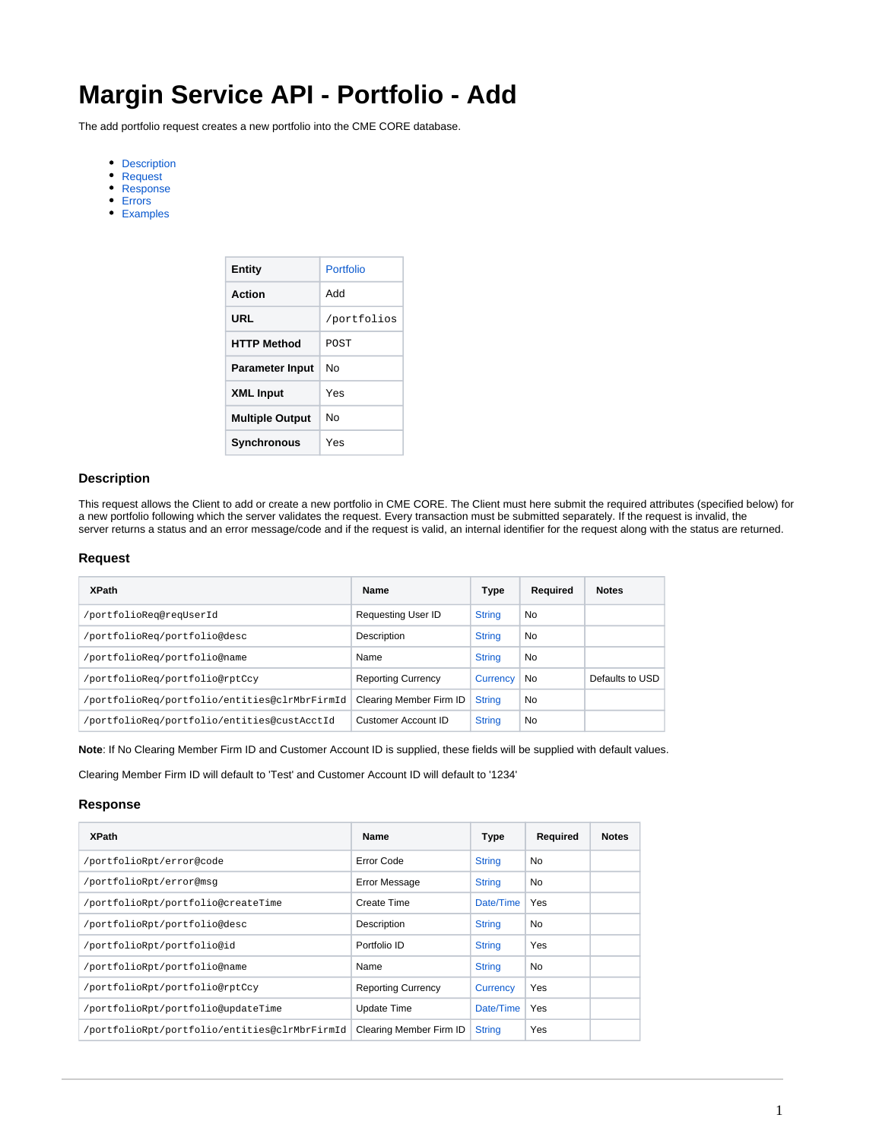# **Margin Service API - Portfolio - Add**

The add portfolio request creates a new portfolio into the CME CORE database.

- [Description](#page-0-0)
- [Request](#page-0-1)
- [Response](#page-0-2)
- [Errors](#page-1-0)
- [Examples](#page-1-1)

| Entity                 | Portfolio   |
|------------------------|-------------|
| Action                 | hhA         |
| URL                    | /portfolios |
| <b>HTTP Method</b>     | <b>POST</b> |
| <b>Parameter Input</b> | N٥          |
| <b>XML Input</b>       | Yes         |
| <b>Multiple Output</b> | N٥          |
| Synchronous            | Yes         |

### <span id="page-0-0"></span>**Description**

This request allows the Client to add or create a new portfolio in CME CORE. The Client must here submit the required attributes (specified below) for a new portfolio following which the server validates the request. Every transaction must be submitted separately. If the request is invalid, the server returns a status and an error message/code and if the request is valid, an internal identifier for the request along with the status are returned.

#### <span id="page-0-1"></span>**Request**

| <b>XPath</b>                                  | Name                      | Type            | Required | <b>Notes</b>    |
|-----------------------------------------------|---------------------------|-----------------|----------|-----------------|
| /portfolioReq@reqUserId                       | <b>Requesting User ID</b> | <b>String</b>   | No       |                 |
| /portfolioReq/portfolio@desc                  | Description               | <b>String</b>   | No       |                 |
| /portfolioReq/portfolio@name                  | Name                      | <b>String</b>   | No       |                 |
| /portfolioReq/portfolio@rptCcy                | <b>Reporting Currency</b> | <b>Currency</b> | No       | Defaults to USD |
| /portfolioReq/portfolio/entities@clrMbrFirmId | Clearing Member Firm ID   | <b>String</b>   | No       |                 |
| /portfolioReq/portfolio/entities@custAcctId   | Customer Account ID       | <b>String</b>   | No       |                 |

**Note**: If No Clearing Member Firm ID and Customer Account ID is supplied, these fields will be supplied with default values.

Clearing Member Firm ID will default to 'Test' and Customer Account ID will default to '1234'

#### <span id="page-0-2"></span>**Response**

| <b>XPath</b>                                  | Name                      | <b>Type</b>   | Required   | <b>Notes</b> |
|-----------------------------------------------|---------------------------|---------------|------------|--------------|
| /portfolioRpt/error@code                      | Error Code                | <b>String</b> | No         |              |
| /portfolioRpt/error@msq                       | Error Message             | <b>String</b> | No         |              |
| /portfolioRpt/portfolio@createTime            | Create Time               | Date/Time     | Yes        |              |
| /portfolioRpt/portfolio@desc                  | Description               | <b>String</b> | No         |              |
| /portfolioRpt/portfolio@id                    | Portfolio ID              | <b>String</b> | <b>Yes</b> |              |
| /portfolioRpt/portfolio@name                  | Name                      | <b>String</b> | No         |              |
| /portfolioRpt/portfolio@rptCcy                | <b>Reporting Currency</b> | Currency      | Yes        |              |
| /portfolioRpt/portfolio@updateTime            | Update Time               | Date/Time     | <b>Yes</b> |              |
| /portfolioRpt/portfolio/entities@clrMbrFirmId | Clearing Member Firm ID   | <b>String</b> | <b>Yes</b> |              |